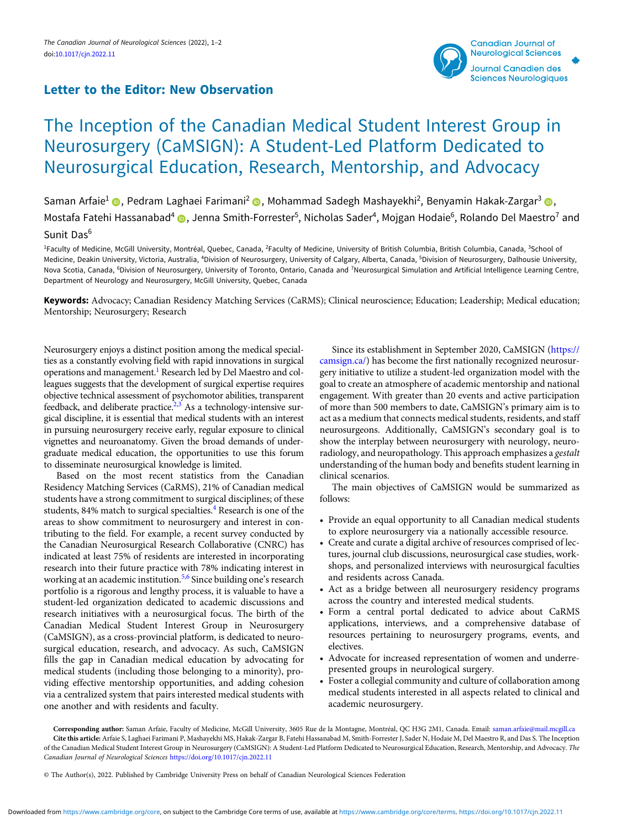## Letter to the Editor: New Observation



## The Inception of the Canadian Medical Student Interest Group in Neurosurgery (CaMSIGN): A Student-Led Platform Dedicated to Neurosurgical Education, Research, Mentorship, and Advocacy

Saman Arfaie<sup>1</sup> (D, Pedram Laghaei Farimani<sup>2</sup> (D, Mohammad Sadegh Mashayekhi<sup>2</sup>, Benyamin Hakak-Zargar<sup>3</sup> (D, Mostafa Fatehi Hassanabad<sup>4</sup> @, Jenna Smith-Forrester<sup>5</sup>, Nicholas Sader<sup>4</sup>, Mojgan Hodaie<sup>6</sup>, Rolando Del Maestro<sup>7</sup> and Sunit Das<sup>6</sup>

<sup>1</sup>Faculty of Medicine, McGill University, Montréal, Quebec, Canada, <sup>2</sup>Faculty of Medicine, University of British Columbia, British Columbia, Canada, <sup>3</sup>School of Medicine, Deakin University, Victoria, Australia, <sup>4</sup>Division of Neurosurgery, University of Calgary, Alberta, Canada, <sup>5</sup>Division of Neurosurgery, Dalhousie University, Nova Scotia, Canada, <sup>6</sup>Division of Neurosurgery, University of Toronto, Ontario, Canada and <sup>7</sup>Neurosurgical Simulation and Artificial Intelligence Learning Centre, Department of Neurology and Neurosurgery, McGill University, Quebec, Canada

Keywords: Advocacy; Canadian Residency Matching Services (CaRMS); Clinical neuroscience; Education; Leadership; Medical education; Mentorship; Neurosurgery; Research

Neurosurgery enjoys a distinct position among the medical specialties as a constantly evolving field with rapid innovations in surgical operations and management[.1](#page-1-0) Research led by Del Maestro and colleagues suggests that the development of surgical expertise requires objective technical assessment of psychomotor abilities, transparent feedback, and deliberate practice.<sup>2,[3](#page-1-0)</sup> As a technology-intensive surgical discipline, it is essential that medical students with an interest in pursuing neurosurgery receive early, regular exposure to clinical vignettes and neuroanatomy. Given the broad demands of undergraduate medical education, the opportunities to use this forum to disseminate neurosurgical knowledge is limited.

Based on the most recent statistics from the Canadian Residency Matching Services (CaRMS), 21% of Canadian medical students have a strong commitment to surgical disciplines; of these students, 8[4](#page-1-0)% match to surgical specialties.<sup>4</sup> Research is one of the areas to show commitment to neurosurgery and interest in contributing to the field. For example, a recent survey conducted by the Canadian Neurosurgical Research Collaborative (CNRC) has indicated at least 75% of residents are interested in incorporating research into their future practice with 78% indicating interest in working at an academic institution.<sup>[5,6](#page-1-0)</sup> Since building one's research portfolio is a rigorous and lengthy process, it is valuable to have a student-led organization dedicated to academic discussions and research initiatives with a neurosurgical focus. The birth of the Canadian Medical Student Interest Group in Neurosurgery (CaMSIGN), as a cross-provincial platform, is dedicated to neurosurgical education, research, and advocacy. As such, CaMSIGN fills the gap in Canadian medical education by advocating for medical students (including those belonging to a minority), providing effective mentorship opportunities, and adding cohesion via a centralized system that pairs interested medical students with one another and with residents and faculty.

Since its establishment in September 2020, CaMSIGN ([https://](https://camsign.ca/) [camsign.ca/\)](https://camsign.ca/) has become the first nationally recognized neurosurgery initiative to utilize a student-led organization model with the goal to create an atmosphere of academic mentorship and national engagement. With greater than 20 events and active participation of more than 500 members to date, CaMSIGN's primary aim is to act as a medium that connects medical students, residents, and staff neurosurgeons. Additionally, CaMSIGN's secondary goal is to show the interplay between neurosurgery with neurology, neuroradiology, and neuropathology. This approach emphasizes a gestalt understanding of the human body and benefits student learning in clinical scenarios.

The main objectives of CaMSIGN would be summarized as follows:

- Provide an equal opportunity to all Canadian medical students to explore neurosurgery via a nationally accessible resource.
- Create and curate a digital archive of resources comprised of lectures, journal club discussions, neurosurgical case studies, workshops, and personalized interviews with neurosurgical faculties and residents across Canada.
- Act as a bridge between all neurosurgery residency programs across the country and interested medical students.
- Form a central portal dedicated to advice about CaRMS applications, interviews, and a comprehensive database of resources pertaining to neurosurgery programs, events, and electives.
- Advocate for increased representation of women and underrepresented groups in neurological surgery.
- Foster a collegial community and culture of collaboration among medical students interested in all aspects related to clinical and academic neurosurgery.

Corresponding author: Saman Arfaie, Faculty of Medicine, McGill University, 3605 Rue de la Montagne, Montréal, QC H3G 2M1, Canada. Email: [saman.arfaie@mail.mcgill.ca](mailto:saman.arfaie@mail.mcgill.ca) Cite this article: Arfaie S, Laghaei Farimani P, Mashayekhi MS, Hakak-Zargar B, Fatehi Hassanabad M, Smith-Forrester J, Sader N, Hodaie M, Del Maestro R, and Das S. The Inception of the Canadian Medical Student Interest Group in Neurosurgery (CaMSIGN): A Student-Led Platform Dedicated to Neurosurgical Education, Research, Mentorship, and Advocacy. The Canadian Journal of Neurological Sciences <https://doi.org/10.1017/cjn.2022.11>

© The Author(s), 2022. Published by Cambridge University Press on behalf of Canadian Neurological Sciences Federation